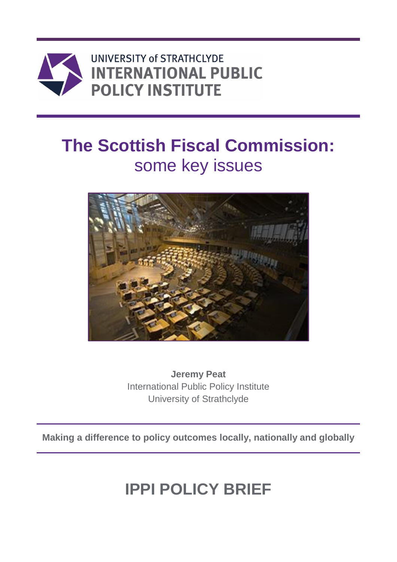

UNIVERSITY of STRATHCLYDE **INTERNATIONAL PUBLIC POLICY INSTITUTE** 

# **The Scottish Fiscal Commission:** some key issues



**Jeremy Peat** International Public Policy Institute University of Strathclyde

**Making a difference to policy outcomes locally, nationally and globally**

# **IPPI POLICY BRIEF**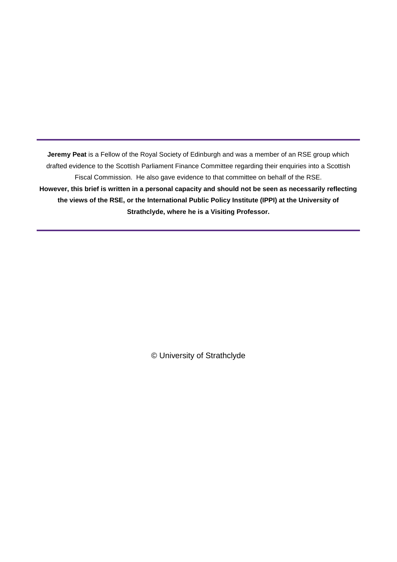**Jeremy Peat** is a Fellow of the Royal Society of Edinburgh and was a member of an RSE group which drafted evidence to the Scottish Parliament Finance Committee regarding their enquiries into a Scottish Fiscal Commission. He also gave evidence to that committee on behalf of the RSE. **However, this brief is written in a personal capacity and should not be seen as necessarily reflecting the views of the RSE, or the International Public Policy Institute (IPPI) at the University of Strathclyde, where he is a Visiting Professor.**

© University of Strathclyde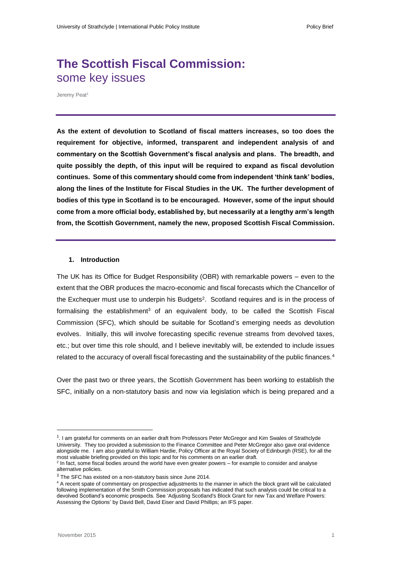# **The Scottish Fiscal Commission:** some key issues

Jeremy Peat<sup>1</sup>

**As the extent of devolution to Scotland of fiscal matters increases, so too does the requirement for objective, informed, transparent and independent analysis of and commentary on the Scottish Government's fiscal analysis and plans. The breadth, and quite possibly the depth, of this input will be required to expand as fiscal devolution continues. Some of this commentary should come from independent 'think tank' bodies, along the lines of the Institute for Fiscal Studies in the UK. The further development of bodies of this type in Scotland is to be encouraged. However, some of the input should come from a more official body, established by, but necessarily at a lengthy arm's length from, the Scottish Government, namely the new, proposed Scottish Fiscal Commission.**

# **1. Introduction**

The UK has its Office for Budget Responsibility (OBR) with remarkable powers – even to the extent that the OBR produces the macro-economic and fiscal forecasts which the Chancellor of the Exchequer must use to underpin his Budgets<sup>2</sup>. Scotland requires and is in the process of formalising the establishment<sup>3</sup> of an equivalent body, to be called the Scottish Fiscal Commission (SFC), which should be suitable for Scotland's emerging needs as devolution evolves. Initially, this will involve forecasting specific revenue streams from devolved taxes, etc.; but over time this role should, and I believe inevitably will, be extended to include issues related to the accuracy of overall fiscal forecasting and the sustainability of the public finances.<sup>4</sup>

Over the past two or three years, the Scottish Government has been working to establish the SFC, initially on a non-statutory basis and now via legislation which is being prepared and a

**.** 

<sup>1</sup> . I am grateful for comments on an earlier draft from Professors Peter McGregor and Kim Swales of Strathclyde University. They too provided a submission to the Finance Committee and Peter McGregor also gave oral evidence alongside me. I am also grateful to William Hardie, Policy Officer at the Royal Society of Edinburgh (RSE), for all the most valuable briefing provided on this topic and for his comments on an earlier draft.

<sup>&</sup>lt;sup>2</sup> In fact, some fiscal bodies around the world have even greater powers – for example to consider and analyse alternative policies.

<sup>&</sup>lt;sup>3</sup> The SFC has existed on a non-statutory basis since June 2014.

<sup>&</sup>lt;sup>4</sup> A recent spate of commentary on prospective adjustments to the manner in which the block grant will be calculated following implementation of the Smith Commission proposals has indicated that such analysis could be critical to a devolved Scotland's economic prospects. See 'Adjusting Scotland's Block Grant for new Tax and Welfare Powers: Assessing the Options' by David Bell, David Eiser an[d David Phillips;](http://www.ifs.org.uk/people/profile/283) an IFS paper.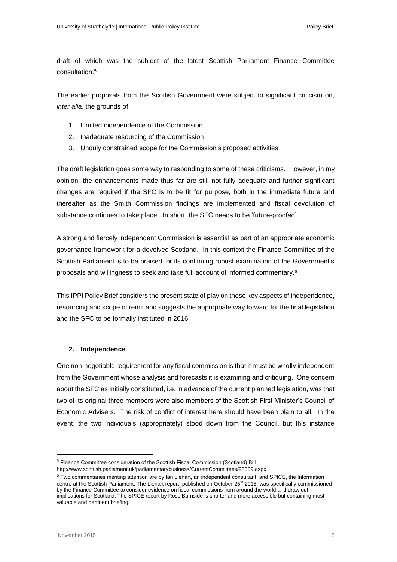draft of which was the subject of the latest Scottish Parliament Finance Committee consultation.<sup>5</sup>

The earlier proposals from the Scottish Government were subject to significant criticism on, *inter alia*, the grounds of:

- 1. Limited independence of the Commission
- 2. Inadequate resourcing of the Commission
- 3. Unduly constrained scope for the Commission's proposed activities

The draft legislation goes some way to responding to some of these criticisms. However, in my opinion, the enhancements made thus far are still not fully adequate and further significant changes are required if the SFC is to be fit for purpose, both in the immediate future and thereafter as the Smith Commission findings are implemented and fiscal devolution of substance continues to take place. In short, the SFC needs to be 'future-proofed'.

A strong and fiercely independent Commission is essential as part of an appropriate economic governance framework for a devolved Scotland. In this context the Finance Committee of the Scottish Parliament is to be praised for its continuing robust examination of the Government's proposals and willingness to seek and take full account of informed commentary.<sup>6</sup>

This IPPI Policy Brief considers the present state of play on these key aspects of independence, resourcing and scope of remit and suggests the appropriate way forward for the final legislation and the SFC to be formally instituted in 2016.

# **2. Independence**

One non-negotiable requirement for any fiscal commission is that it must be wholly independent from the Government whose analysis and forecasts it is examining and critiquing. One concern about the SFC as initially constituted, i.e. in advance of the current planned legislation, was that two of its original three members were also members of the Scottish First Minister's Council of Economic Advisers. The risk of conflict of interest here should have been plain to all. In the event, the two individuals (appropriately) stood down from the Council, but this instance

**.** 

<sup>&</sup>lt;sup>5</sup> Finance Committee consideration of the Scottish Fiscal Commission (Scotland) Bill

<http://www.scottish.parliament.uk/parliamentarybusiness/CurrentCommittees/93009.aspx>

 $6$  Two commentaries meriting attention are by Ian Lienart, an independent consultant, and SPICE, the Information centre at the Scottish Parliament. The Lienart report, published on October 25<sup>th</sup> 2015, was specifically commissioned by the Finance Committee to consider evidence on fiscal commissions from around the world and draw out implications for Scotland. The SPICE report by Ross Burnside is shorter and more accessible but containing most valuable and pertinent briefing.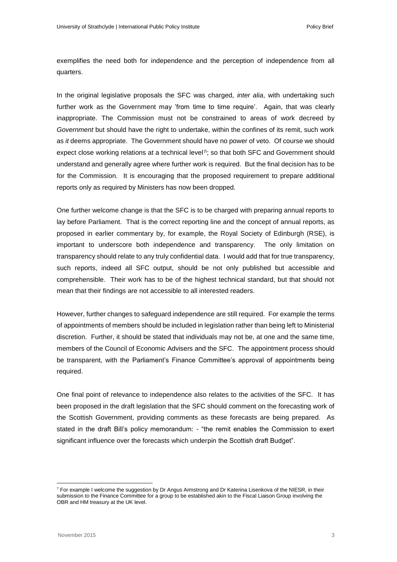exemplifies the need both for independence and the perception of independence from all quarters.

In the original legislative proposals the SFC was charged, *inter alia*, with undertaking such further work as the Government may 'from time to time require'. Again, that was clearly inappropriate. The Commission must not be constrained to areas of work decreed by *Government* but should have the right to undertake, within the confines of its remit, such work as *it* deems appropriate. The Government should have no power of veto. Of course we should expect close working relations at a technical level $\vec{r}$ ; so that both SFC and Government should understand and generally agree where further work is required. But the final decision has to be for the Commission. It is encouraging that the proposed requirement to prepare additional reports only as required by Ministers has now been dropped.

One further welcome change is that the SFC is to be charged with preparing annual reports to lay before Parliament. That is the correct reporting line and the concept of annual reports, as proposed in earlier commentary by, for example, the Royal Society of Edinburgh (RSE), is important to underscore both independence and transparency. The only limitation on transparency should relate to any truly confidential data. I would add that for true transparency, such reports, indeed all SFC output, should be not only published but accessible and comprehensible. Their work has to be of the highest technical standard, but that should not mean that their findings are not accessible to all interested readers.

However, further changes to safeguard independence are still required. For example the terms of appointments of members should be included in legislation rather than being left to Ministerial discretion. Further, it should be stated that individuals may not be, at one and the same time, members of the Council of Economic Advisers and the SFC. The appointment process should be transparent, with the Parliament's Finance Committee's approval of appointments being required.

One final point of relevance to independence also relates to the activities of the SFC. It has been proposed in the draft legislation that the SFC should comment on the forecasting work of the Scottish Government, providing comments as these forecasts are being prepared. As stated in the draft Bill's policy memorandum: - "the remit enables the Commission to exert significant influence over the forecasts which underpin the Scottish draft Budget".

**.** 

<sup>7</sup> For example I welcome the suggestion by Dr Angus Armstrong and Dr Katerina Lisenkova of the NIESR, in their submission to the Finance Committee for a group to be established akin to the Fiscal Liaison Group involving the OBR and HM treasury at the UK level.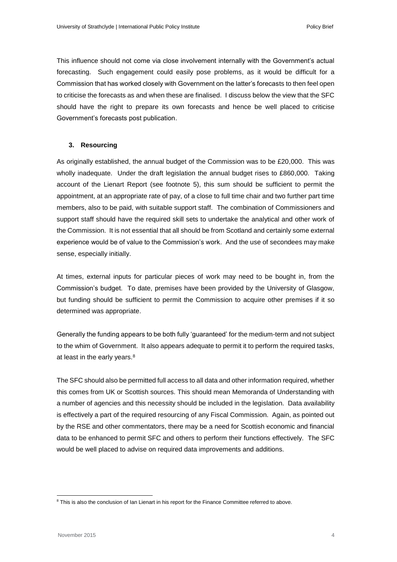This influence should not come via close involvement internally with the Government's actual forecasting. Such engagement could easily pose problems, as it would be difficult for a Commission that has worked closely with Government on the latter's forecasts to then feel open to criticise the forecasts as and when these are finalised. I discuss below the view that the SFC should have the right to prepare its own forecasts and hence be well placed to criticise Government's forecasts post publication.

## **3. Resourcing**

As originally established, the annual budget of the Commission was to be £20,000. This was wholly inadequate. Under the draft legislation the annual budget rises to £860,000. Taking account of the Lienart Report (see footnote 5), this sum should be sufficient to permit the appointment, at an appropriate rate of pay, of a close to full time chair and two further part time members, also to be paid, with suitable support staff. The combination of Commissioners and support staff should have the required skill sets to undertake the analytical and other work of the Commission. It is not essential that all should be from Scotland and certainly some external experience would be of value to the Commission's work. And the use of secondees may make sense, especially initially.

At times, external inputs for particular pieces of work may need to be bought in, from the Commission's budget. To date, premises have been provided by the University of Glasgow, but funding should be sufficient to permit the Commission to acquire other premises if it so determined was appropriate.

Generally the funding appears to be both fully 'guaranteed' for the medium-term and not subject to the whim of Government. It also appears adequate to permit it to perform the required tasks, at least in the early years.<sup>8</sup>

The SFC should also be permitted full access to all data and other information required, whether this comes from UK or Scottish sources. This should mean Memoranda of Understanding with a number of agencies and this necessity should be included in the legislation. Data availability is effectively a part of the required resourcing of any Fiscal Commission. Again, as pointed out by the RSE and other commentators, there may be a need for Scottish economic and financial data to be enhanced to permit SFC and others to perform their functions effectively. The SFC would be well placed to advise on required data improvements and additions.

<sup>1</sup> <sup>8</sup> This is also the conclusion of Ian Lienart in his report for the Finance Committee referred to above.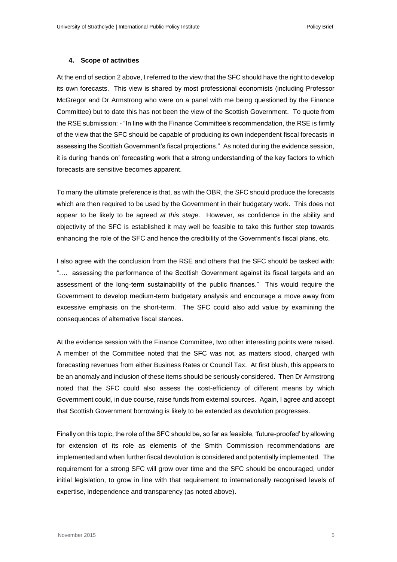#### **4. Scope of activities**

At the end of section 2 above, I referred to the view that the SFC should have the right to develop its own forecasts. This view is shared by most professional economists (including Professor McGregor and Dr Armstrong who were on a panel with me being questioned by the Finance Committee) but to date this has not been the view of the Scottish Government. To quote from the RSE submission: - "In line with the Finance Committee's recommendation, the RSE is firmly of the view that the SFC should be capable of producing its own independent fiscal forecasts in assessing the Scottish Government's fiscal projections." As noted during the evidence session, it is during 'hands on' forecasting work that a strong understanding of the key factors to which forecasts are sensitive becomes apparent.

To many the ultimate preference is that, as with the OBR, the SFC should produce the forecasts which are then required to be used by the Government in their budgetary work. This does not appear to be likely to be agreed *at this stage*. However, as confidence in the ability and objectivity of the SFC is established it may well be feasible to take this further step towards enhancing the role of the SFC and hence the credibility of the Government's fiscal plans, etc.

I also agree with the conclusion from the RSE and others that the SFC should be tasked with: "…. assessing the performance of the Scottish Government against its fiscal targets and an assessment of the long-term sustainability of the public finances." This would require the Government to develop medium-term budgetary analysis and encourage a move away from excessive emphasis on the short-term. The SFC could also add value by examining the consequences of alternative fiscal stances.

At the evidence session with the Finance Committee, two other interesting points were raised. A member of the Committee noted that the SFC was not, as matters stood, charged with forecasting revenues from either Business Rates or Council Tax. At first blush, this appears to be an anomaly and inclusion of these items should be seriously considered. Then Dr Armstrong noted that the SFC could also assess the cost-efficiency of different means by which Government could, in due course, raise funds from external sources. Again, I agree and accept that Scottish Government borrowing is likely to be extended as devolution progresses.

Finally on this topic, the role of the SFC should be, so far as feasible, 'future-proofed' by allowing for extension of its role as elements of the Smith Commission recommendations are implemented and when further fiscal devolution is considered and potentially implemented. The requirement for a strong SFC will grow over time and the SFC should be encouraged, under initial legislation, to grow in line with that requirement to internationally recognised levels of expertise, independence and transparency (as noted above).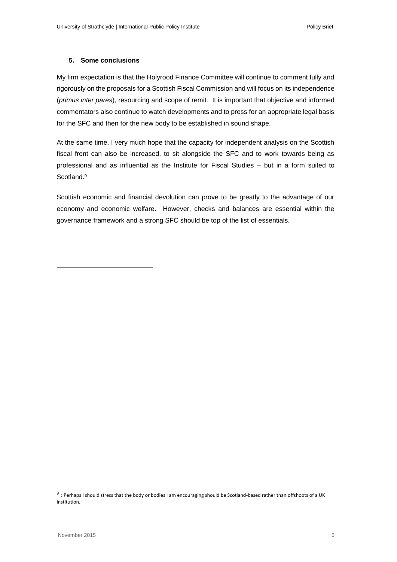# **5. Some conclusions**

My firm expectation is that the Holyrood Finance Committee will continue to comment fully and rigorously on the proposals for a Scottish Fiscal Commission and will focus on its independence (*primus inter pares*), resourcing and scope of remit. It is important that objective and informed commentators also continue to watch developments and to press for an appropriate legal basis for the SFC and then for the new body to be established in sound shape.

At the same time, I very much hope that the capacity for independent analysis on the Scottish fiscal front can also be increased, to sit alongside the SFC and to work towards being as professional and as influential as the Institute for Fiscal Studies – but in a form suited to Scotland.<sup>9</sup>

Scottish economic and financial devolution can prove to be greatly to the advantage of our economy and economic welfare. However, checks and balances are essential within the governance framework and a strong SFC should be top of the list of essentials.

**.** 

1

 $9$ : Perhaps I should stress that the body or bodies I am encouraging should be Scotland-based rather than offshoots of a UK institution.